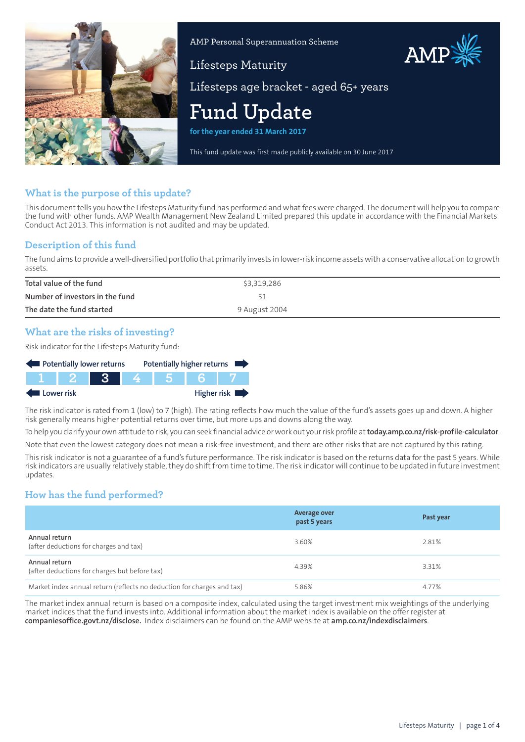

AMP Personal Superannuation Scheme

# AMP

Lifesteps Maturity Lifesteps age bracket - aged 65+ years

# **Fund Update**

**for the year ended 31 March 2017**

This fund update was first made publicly available on 30 June 2017

# **What is the purpose of this update?**

This document tells you how the Lifesteps Maturity fund has performed and what fees were charged. The document will help you to compare the fund with other funds. AMP Wealth Management New Zealand Limited prepared this update in accordance with the Financial Markets Conduct Act 2013. This information is not audited and may be updated.

### **Description of this fund**

The fund aims to provide awell-diversified portfolio that primarily invests in lower-risk income assetswith a conservative allocation to growth assets.

| Total value of the fund         | \$3,319,286   |
|---------------------------------|---------------|
| Number of investors in the fund |               |
| The date the fund started       | 9 August 2004 |

# **What are the risks of investing?**

Risk indicator for the Lifesteps Maturity fund:



The risk indicator is rated from 1 (low) to 7 (high). The rating reflects how much the value of the fund's assets goes up and down. A higher risk generally means higher potential returns over time, but more ups and downs along the way.

To help you clarify your own attitude to risk, you can seek financial advice orwork out yourrisk profile at**[today.amp.co.nz/risk-profile-calculator](http://today.amp.co.nz/risk-profile-calculator)**. Note that even the lowest category does not mean a risk-free investment, and there are other risks that are not captured by this rating.

This risk indicator is not a guarantee of a fund's future performance. The risk indicator is based on the returns data for the past 5 years. While risk indicators are usually relatively stable, they do shift from time to time. The risk indicator will continue to be updated in future investment updates.

# **How has the fund performed?**

|                                                                        | <b>Average over</b><br>past 5 years | Past year |
|------------------------------------------------------------------------|-------------------------------------|-----------|
| Annual return<br>(after deductions for charges and tax)                | 3.60%                               | 2.81%     |
| Annual return<br>(after deductions for charges but before tax)         | 4.39%                               | 3.31%     |
| Market index annual return (reflects no deduction for charges and tax) | 5.86%                               | 4.77%     |

The market index annual return is based on a composite index, calculated using the target investment mix weightings of the underlying market indices that the fund invests into. Additional information about the market index is available on the offer register at **[companiesoffice.govt.nz/disclose](http://companiesoffice.govt.nz/disclose).** Index disclaimers can be found on the AMP website at **[amp.co.nz/indexdisclaimers](http://amp.co.nz/indexdisclaimers)**.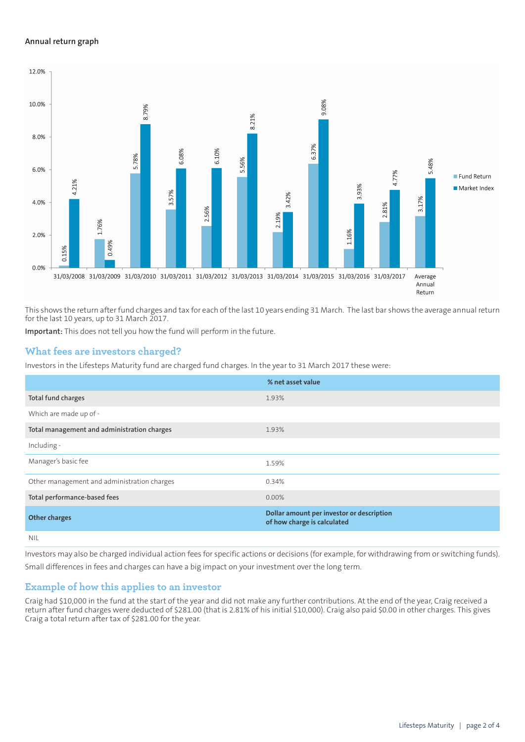#### **Annual return graph**



This shows the return after fund charges and tax for each of the last 10 years ending 31 March. The last bar shows the average annual return for the last 10 years, up to 31 March 2017.

**Important:** This does not tell you how the fund will perform in the future.

#### **What fees are investors charged?**

Investors in the Lifesteps Maturity fund are charged fund charges. In the year to 31 March 2017 these were:

|                                             | % net asset value                                                        |
|---------------------------------------------|--------------------------------------------------------------------------|
| Total fund charges                          | 1.93%                                                                    |
| Which are made up of -                      |                                                                          |
| Total management and administration charges | 1.93%                                                                    |
| Including -                                 |                                                                          |
| Manager's basic fee                         | 1.59%                                                                    |
| Other management and administration charges | 0.34%                                                                    |
| Total performance-based fees                | 0.00%                                                                    |
| <b>Other charges</b>                        | Dollar amount per investor or description<br>of how charge is calculated |
| nil                                         |                                                                          |

Investors may also be charged individual action fees for specific actions or decisions (for example, for withdrawing from or switching funds). Small differences in fees and charges can have a big impact on your investment over the long term.

#### **Example of how this applies to an investor**

Craig had \$10,000 in the fund at the start of the year and did not make any further contributions. At the end of the year, Craig received a return after fund charges were deducted of \$281.00 (that is 2.81% of his initial \$10,000). Craig also paid \$0.00 in other charges. This gives Craig a total return after tax of \$281.00 for the year.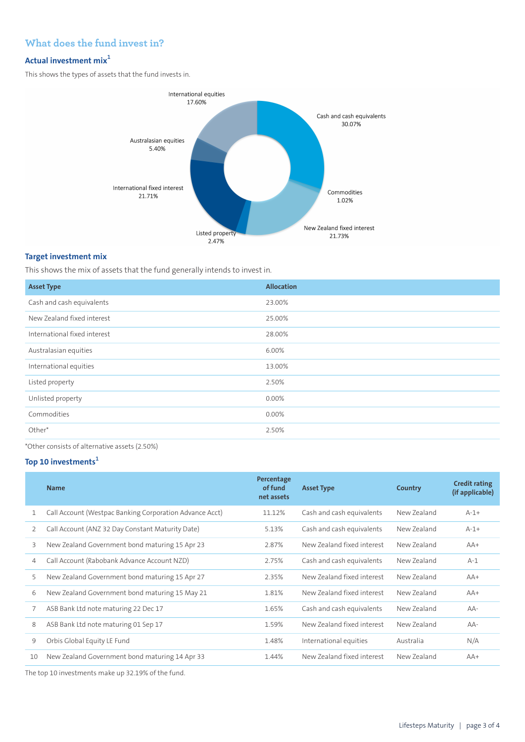# **What does the fund invest in?**

# **Actual investment mix<sup>1</sup>**

This shows the types of assets that the fund invests in.



#### **Target investment mix**

This shows the mix of assets that the fund generally intends to invest in.

| <b>Asset Type</b>            | <b>Allocation</b> |
|------------------------------|-------------------|
| Cash and cash equivalents    | 23.00%            |
| New Zealand fixed interest   | 25.00%            |
| International fixed interest | 28.00%            |
| Australasian equities        | 6.00%             |
| International equities       | 13.00%            |
| Listed property              | 2.50%             |
| Unlisted property            | 0.00%             |
| Commodities                  | 0.00%             |
| Other*                       | 2.50%             |
|                              |                   |

\*Other consists of alternative assets (2.50%)

# **Top 10 investments<sup>1</sup>**

|    | <b>Name</b>                                             | Percentage<br>of fund<br>net assets | <b>Asset Type</b>          | Country     | <b>Credit rating</b><br>(if applicable) |
|----|---------------------------------------------------------|-------------------------------------|----------------------------|-------------|-----------------------------------------|
| 1  | Call Account (Westpac Banking Corporation Advance Acct) | 11.12%                              | Cash and cash equivalents  | New Zealand | $A-1+$                                  |
| 2  | Call Account (ANZ 32 Day Constant Maturity Date)        | 5.13%                               | Cash and cash equivalents  | New Zealand | $A-1+$                                  |
| 3  | New Zealand Government bond maturing 15 Apr 23          | 2.87%                               | New Zealand fixed interest | New Zealand | $AA+$                                   |
| 4  | Call Account (Rabobank Advance Account NZD)             | 2.75%                               | Cash and cash equivalents  | New Zealand | $A-1$                                   |
| 5  | New Zealand Government bond maturing 15 Apr 27          | 2.35%                               | New Zealand fixed interest | New Zealand | $AA+$                                   |
| 6  | New Zealand Government bond maturing 15 May 21          | 1.81%                               | New Zealand fixed interest | New Zealand | $AA+$                                   |
| 7  | ASB Bank Ltd note maturing 22 Dec 17                    | 1.65%                               | Cash and cash equivalents  | New Zealand | $AA-$                                   |
| 8  | ASB Bank Ltd note maturing 01 Sep 17                    | 1.59%                               | New Zealand fixed interest | New Zealand | AA-                                     |
| 9  | Orbis Global Equity LE Fund                             | 1.48%                               | International equities     | Australia   | N/A                                     |
| 10 | New Zealand Government bond maturing 14 Apr 33          | 1.44%                               | New Zealand fixed interest | New Zealand | $AA+$                                   |
|    |                                                         |                                     |                            |             |                                         |

The top 10 investments make up 32.19% of the fund.